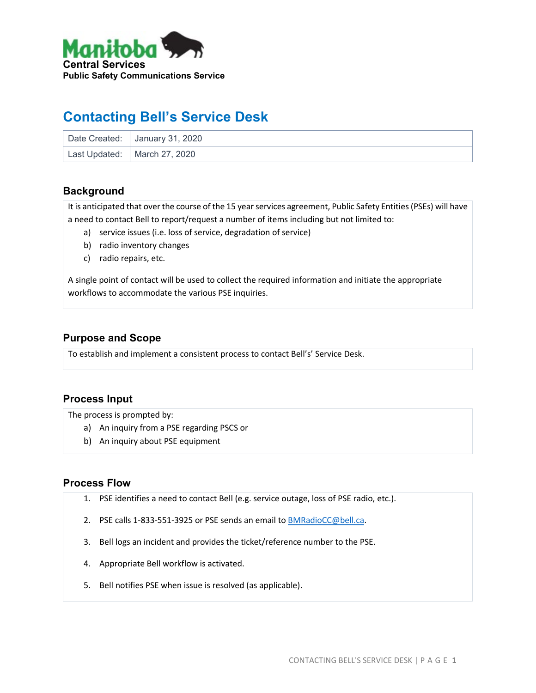

# **Contacting Bell's Service Desk**

| Date Created:   January 31, 2020 |
|----------------------------------|
| Last Updated: Narch 27, 2020     |

### **Background**

It is anticipated that over the course of the 15 year services agreement, Public Safety Entities (PSEs) will have a need to contact Bell to report/request a number of items including but not limited to:

- a) service issues (i.e. loss of service, degradation of service)
- b) radio inventory changes
- c) radio repairs, etc.

A single point of contact will be used to collect the required information and initiate the appropriate workflows to accommodate the various PSE inquiries.

#### **Purpose and Scope**

To establish and implement a consistent process to contact Bell's' Service Desk.

### **Process Input**

The process is prompted by:

- a) An inquiry from a PSE regarding PSCS or
- b) An inquiry about PSE equipment

#### **Process Flow**

- 1. PSE identifies a need to contact Bell (e.g. service outage, loss of PSE radio, etc.).
- 2. PSE calls 1-833-551-3925 or PSE sends an email to [BMRadioCC@bell.ca.](mailto:BMRadioCC@bell.ca)
- 3. Bell logs an incident and provides the ticket/reference number to the PSE.
- 4. Appropriate Bell workflow is activated.
- 5. Bell notifies PSE when issue is resolved (as applicable).